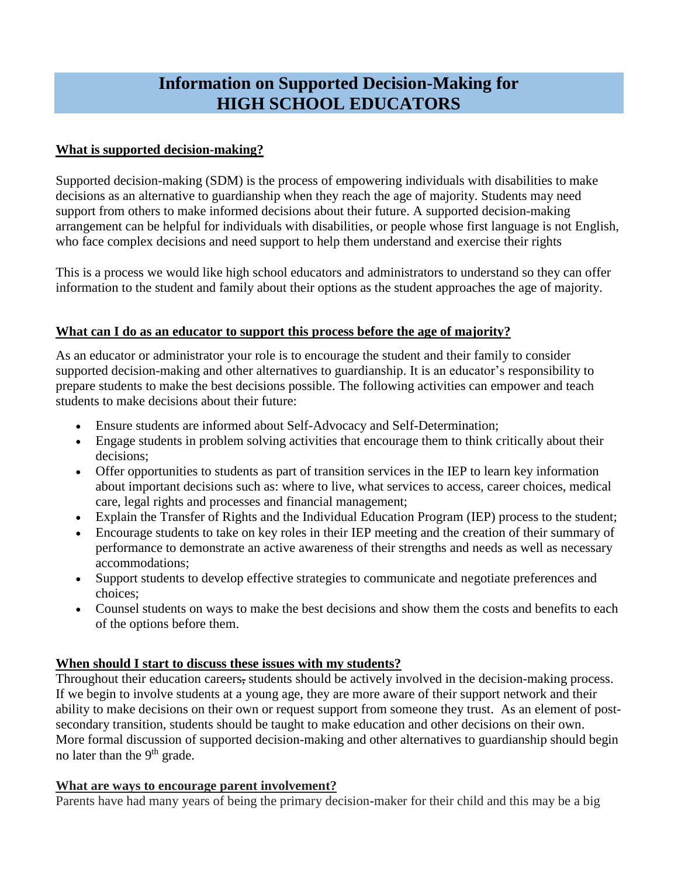# **Information on Supported Decision-Making for HIGH SCHOOL EDUCATORS**

# **What is supported decision-making?**

Supported decision-making (SDM) is the process of empowering individuals with disabilities to make decisions as an alternative to guardianship when they reach the age of majority. Students may need support from others to make informed decisions about their future. A supported decision-making arrangement can be helpful for individuals with disabilities, or people whose first language is not English, who face complex decisions and need support to help them understand and exercise their rights

This is a process we would like high school educators and administrators to understand so they can offer information to the student and family about their options as the student approaches the age of majority.

# **What can I do as an educator to support this process before the age of majority?**

As an educator or administrator your role is to encourage the student and their family to consider supported decision-making and other alternatives to guardianship. It is an educator's responsibility to prepare students to make the best decisions possible. The following activities can empower and teach students to make decisions about their future:

- Ensure students are informed about Self-Advocacy and Self-Determination;
- Engage students in problem solving activities that encourage them to think critically about their decisions;
- Offer opportunities to students as part of transition services in the IEP to learn key information about important decisions such as: where to live, what services to access, career choices, medical care, legal rights and processes and financial management;
- Explain the Transfer of Rights and the Individual Education Program (IEP) process to the student;
- Encourage students to take on key roles in their IEP meeting and the creation of their summary of performance to demonstrate an active awareness of their strengths and needs as well as necessary accommodations;
- Support students to develop effective strategies to communicate and negotiate preferences and choices;
- Counsel students on ways to make the best decisions and show them the costs and benefits to each of the options before them.

# **When should I start to discuss these issues with my students?**

Throughout their education careers, students should be actively involved in the decision-making process. If we begin to involve students at a young age, they are more aware of their support network and their ability to make decisions on their own or request support from someone they trust. As an element of postsecondary transition, students should be taught to make education and other decisions on their own. More formal discussion of supported decision-making and other alternatives to guardianship should begin no later than the 9<sup>th</sup> grade.

## **What are ways to encourage parent involvement?**

Parents have had many years of being the primary decision-maker for their child and this may be a big